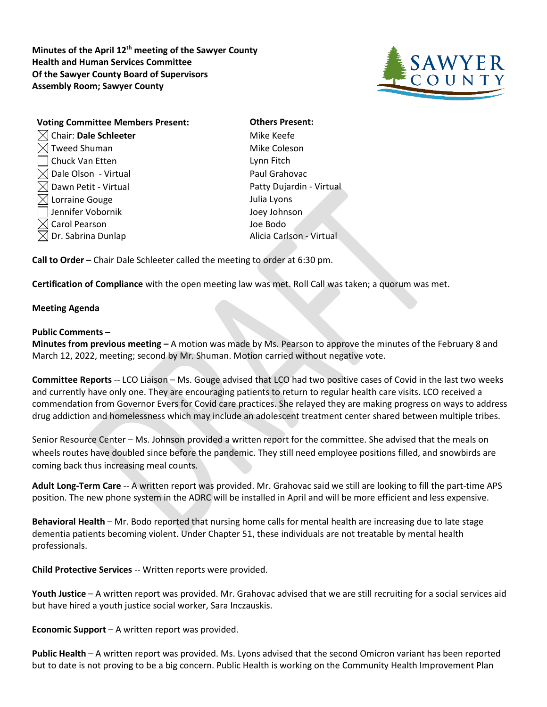**Minutes of the April 12th meeting of the Sawyer County Health and Human Services Committee Of the Sawyer County Board of Supervisors Assembly Room; Sawyer County**



| <b>Voting Committee Members Present:</b> | <b>Others Present:</b>   |
|------------------------------------------|--------------------------|
| $\boxtimes$ Chair: Dale Schleeter        | Mike Keefe               |
| <b>Tweed Shuman</b>                      | Mike Coleson             |
| Chuck Van Etten                          | Lynn Fitch               |
| $\boxtimes$ Dale Olson - Virtual         | Paul Grahovac            |
| $\boxtimes$ Dawn Petit - Virtual         | Patty Dujardin - Virtual |
| $\boxtimes$ Lorraine Gouge               | Julia Lyons              |
| Jennifer Vobornik                        | Joey Johnson             |
| Carol Pearson                            | Joe Bodo                 |
| Dr. Sabrina Dunlap                       | Alicia Carlson - Virtual |

**Call to Order –** Chair Dale Schleeter called the meeting to order at 6:30 pm.

**Certification of Compliance** with the open meeting law was met. Roll Call was taken; a quorum was met.

## **Meeting Agenda**

## **Public Comments –**

**Minutes from previous meeting –** A motion was made by Ms. Pearson to approve the minutes of the February 8 and March 12, 2022, meeting; second by Mr. Shuman. Motion carried without negative vote.

**Committee Reports** -- LCO Liaison – Ms. Gouge advised that LCO had two positive cases of Covid in the last two weeks and currently have only one. They are encouraging patients to return to regular health care visits. LCO received a commendation from Governor Evers for Covid care practices. She relayed they are making progress on ways to address drug addiction and homelessness which may include an adolescent treatment center shared between multiple tribes.

Senior Resource Center – Ms. Johnson provided a written report for the committee. She advised that the meals on wheels routes have doubled since before the pandemic. They still need employee positions filled, and snowbirds are coming back thus increasing meal counts.

**Adult Long-Term Care** -- A written report was provided. Mr. Grahovac said we still are looking to fill the part-time APS position. The new phone system in the ADRC will be installed in April and will be more efficient and less expensive.

**Behavioral Health** – Mr. Bodo reported that nursing home calls for mental health are increasing due to late stage dementia patients becoming violent. Under Chapter 51, these individuals are not treatable by mental health professionals.

**Child Protective Services** -- Written reports were provided.

**Youth Justice** – A written report was provided. Mr. Grahovac advised that we are still recruiting for a social services aid but have hired a youth justice social worker, Sara Inczauskis.

**Economic Support** – A written report was provided.

**Public Health** – A written report was provided. Ms. Lyons advised that the second Omicron variant has been reported but to date is not proving to be a big concern. Public Health is working on the Community Health Improvement Plan